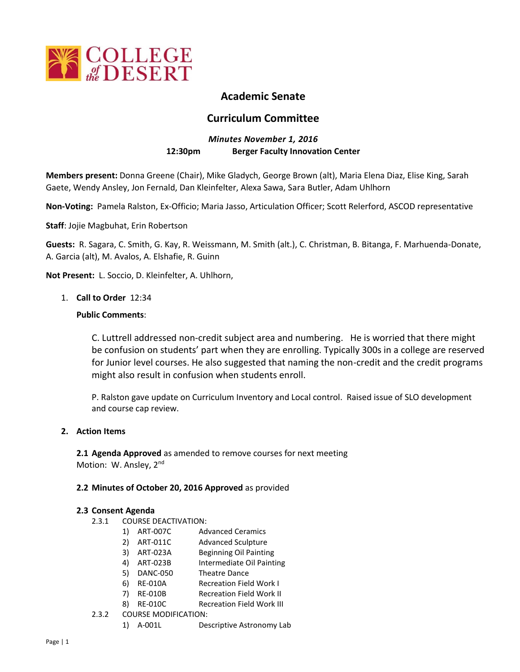

# **Academic Senate**

# **Curriculum Committee**

# *Minutes November 1, 2016* **12:30pm Berger Faculty Innovation Center**

**Members present:** Donna Greene (Chair), Mike Gladych, George Brown (alt), Maria Elena Diaz, Elise King, Sarah Gaete, Wendy Ansley, Jon Fernald, Dan Kleinfelter, Alexa Sawa, Sara Butler, Adam Uhlhorn

**Non-Voting:** Pamela Ralston, Ex-Officio; Maria Jasso, Articulation Officer; Scott Relerford, ASCOD representative

**Staff**: Jojie Magbuhat, Erin Robertson

**Guests:** R. Sagara, C. Smith, G. Kay, R. Weissmann, M. Smith (alt.), C. Christman, B. Bitanga, F. Marhuenda-Donate, A. Garcia (alt), M. Avalos, A. Elshafie, R. Guinn

**Not Present:** L. Soccio, D. Kleinfelter, A. Uhlhorn,

## 1. **Call to Order** 12:34

## **Public Comments**:

C. Luttrell addressed non-credit subject area and numbering. He is worried that there might be confusion on students' part when they are enrolling. Typically 300s in a college are reserved for Junior level courses. He also suggested that naming the non-credit and the credit programs might also result in confusion when students enroll.

P. Ralston gave update on Curriculum Inventory and Local control. Raised issue of SLO development and course cap review.

#### **2. Action Items**

**2.1 Agenda Approved** as amended to remove courses for next meeting Motion: W. Ansley, 2<sup>nd</sup>

#### **2.2 Minutes of October 20, 2016 Approved** as provided

#### **2.3 Consent Agenda**

- 2.3.1 COURSE DEACTIVATION:
	- 1) ART-007C Advanced Ceramics
	- 2) ART-011C Advanced Sculpture
	- 3) ART-023A Beginning Oil Painting
	- 4) ART-023B Intermediate Oil Painting
	- 5) DANC-050 Theatre Dance
	- 6) RE-010A Recreation Field Work I
	- 7) RE-010B Recreation Field Work II
	- 8) RE-010C Recreation Field Work III
- 2.3.2 COURSE MODIFICATION:
	- 1) A-001L Descriptive Astronomy Lab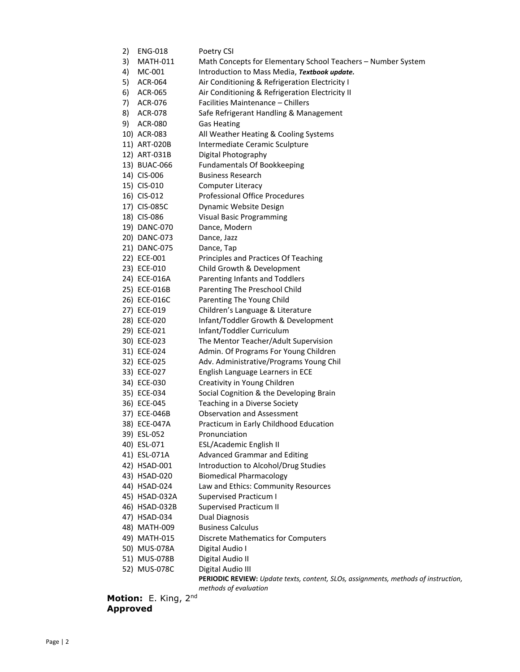| 2) | <b>ENG-018</b>                        | Poetry CSI                                                                         |
|----|---------------------------------------|------------------------------------------------------------------------------------|
| 3) | <b>MATH-011</b>                       | Math Concepts for Elementary School Teachers - Number System                       |
| 4) | MC-001                                | Introduction to Mass Media, Textbook update.                                       |
| 5) | ACR-064                               | Air Conditioning & Refrigeration Electricity I                                     |
| 6) | ACR-065                               | Air Conditioning & Refrigeration Electricity II                                    |
| 7) | ACR-076                               | Facilities Maintenance - Chillers                                                  |
| 8) | ACR-078                               | Safe Refrigerant Handling & Management                                             |
| 9) | <b>ACR-080</b>                        | <b>Gas Heating</b>                                                                 |
|    | 10) ACR-083                           | All Weather Heating & Cooling Systems                                              |
|    | 11) ART-020B                          | Intermediate Ceramic Sculpture                                                     |
|    | 12) ART-031B                          | Digital Photography                                                                |
|    | 13) BUAC-066                          | <b>Fundamentals Of Bookkeeping</b>                                                 |
|    | 14) CIS-006                           | <b>Business Research</b>                                                           |
|    | 15) CIS-010                           | <b>Computer Literacy</b>                                                           |
|    | 16) CIS-012                           | <b>Professional Office Procedures</b>                                              |
|    | 17) CIS-085C                          | Dynamic Website Design                                                             |
|    | 18) CIS-086                           | <b>Visual Basic Programming</b>                                                    |
|    | 19) DANC-070                          | Dance, Modern                                                                      |
|    | 20) DANC-073                          | Dance, Jazz                                                                        |
|    | 21) DANC-075                          | Dance, Tap                                                                         |
|    | 22) ECE-001                           | Principles and Practices Of Teaching                                               |
|    | 23) ECE-010                           | Child Growth & Development                                                         |
|    | 24) ECE-016A                          | Parenting Infants and Toddlers                                                     |
|    | 25) ECE-016B                          | Parenting The Preschool Child                                                      |
|    | 26) ECE-016C                          | Parenting The Young Child                                                          |
|    | 27) ECE-019                           | Children's Language & Literature                                                   |
|    | 28) ECE-020                           | Infant/Toddler Growth & Development                                                |
|    | 29) ECE-021                           | Infant/Toddler Curriculum                                                          |
|    | 30) ECE-023                           | The Mentor Teacher/Adult Supervision                                               |
|    | 31) ECE-024                           | Admin. Of Programs For Young Children                                              |
|    | 32) ECE-025                           | Adv. Administrative/Programs Young Chil                                            |
|    | 33) ECE-027                           | English Language Learners in ECE                                                   |
|    | 34) ECE-030                           | Creativity in Young Children                                                       |
|    | 35) ECE-034                           | Social Cognition & the Developing Brain                                            |
|    | 36) ECE-045                           | Teaching in a Diverse Society                                                      |
|    | 37) ECE-046B                          | <b>Observation and Assessment</b>                                                  |
|    | 38) ECE-047A                          | Practicum in Early Childhood Education                                             |
|    | 39) ESL-052                           | Pronunciation                                                                      |
|    | 40) ESL-071                           | ESL/Academic English II                                                            |
|    | 41) ESL-071A                          | <b>Advanced Grammar and Editing</b>                                                |
|    | 42) HSAD-001                          | Introduction to Alcohol/Drug Studies                                               |
|    | 43) HSAD-020                          | <b>Biomedical Pharmacology</b>                                                     |
|    | 44) HSAD-024                          | Law and Ethics: Community Resources                                                |
|    | 45) HSAD-032A                         | <b>Supervised Practicum I</b>                                                      |
|    | 46) HSAD-032B                         | <b>Supervised Practicum II</b>                                                     |
|    | 47) HSAD-034                          | <b>Dual Diagnosis</b>                                                              |
|    | 48) MATH-009                          | <b>Business Calculus</b>                                                           |
|    | 49) MATH-015                          | <b>Discrete Mathematics for Computers</b>                                          |
|    | 50) MUS-078A                          | Digital Audio I                                                                    |
|    | 51) MUS-078B                          | Digital Audio II                                                                   |
|    | 52) MUS-078C                          | Digital Audio III                                                                  |
|    |                                       | PERIODIC REVIEW: Update texts, content, SLOs, assignments, methods of instruction, |
|    |                                       | methods of evaluation                                                              |
|    | <b>tion:</b> E. Kina, 2 <sup>nd</sup> |                                                                                    |

# **Motion: E. King, Approved**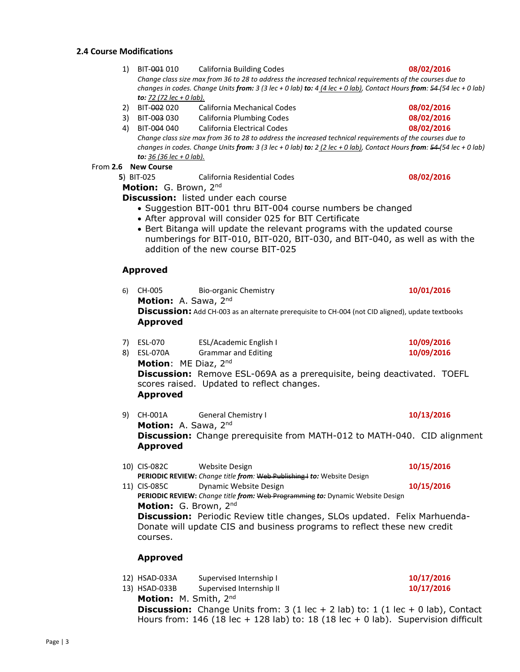#### **2.4 Course Modifications**

- 1) BIT-001 010 California Building Codes **08/02/2016** *Change class size max from 36 to 28 to address the increased technical requirements of the courses due to changes in codes. Change Units from: 3 (3 lec + 0 lab) to: 4 (4 lec + 0 lab), Contact Hours from: 54 (54 lec + 0 lab) to: 72 (72 lec + 0 lab).*
- 2) BIT-002 020 California Mechanical Codes **08/02/2016**
- 3) BIT-003 030 California Plumbing Codes **08/02/2016**

4) BIT-004 040 California Electrical Codes **08/02/2016** *Change class size max from 36 to 28 to address the increased technical requirements of the courses due to changes in codes. Change Units from: 3 (3 lec + 0 lab) to: 2 (2 lec + 0 lab), Contact Hours from: 54 (54 lec + 0 lab) to: 36 (36 lec + 0 lab).*

From **2.6 New Course**

 **5**) BIT-025 California Residential Codes **08/02/2016**

**Motion:** G. Brown, 2nd

**Discussion:** listed under each course

- Suggestion BIT-001 thru BIT-004 course numbers be changed
- After approval will consider 025 for BIT Certificate
- Bert Bitanga will update the relevant programs with the updated course numberings for BIT-010, BIT-020, BIT-030, and BIT-040, as well as with the addition of the new course BIT-025

#### **Approved**

| 6)       | CH-005                                                                                                                                       | Bio-organic Chemistry                                | 10/01/2016               |  |
|----------|----------------------------------------------------------------------------------------------------------------------------------------------|------------------------------------------------------|--------------------------|--|
|          | Motion: A. Sawa, 2nd<br>Discussion: Add CH-003 as an alternate prerequisite to CH-004 (not CID aligned), update textbooks<br><b>Approved</b> |                                                      |                          |  |
| 7)<br>8) | ESL-070<br><b>ESL-070A</b>                                                                                                                   | ESL/Academic English I<br><b>Grammar and Editing</b> | 10/09/2016<br>10/09/2016 |  |
|          |                                                                                                                                              |                                                      |                          |  |

- **Motion**: ME Diaz, 2nd **Discussion:** Remove ESL-069A as a prerequisite, being deactivated. TOEFL scores raised. Updated to reflect changes. **Approved**
- 9) CH-001A General Chemistry I **10/13/2016 Motion:** A. Sawa, 2nd **Discussion:** Change prerequisite from MATH-012 to MATH-040. CID alignment **Approved**
- 10) CIS-082C Website Design **10/15/2016 PERIODIC REVIEW:** *Change title from:* Web Publishing I *to:* Website Design 11) CIS-085C Dynamic Website Design **10/15/2016**

**PERIODIC REVIEW:** *Change title from:* Web Programming *to:* Dynamic Website Design **Motion:** G. Brown, 2nd **Discussion:** Periodic Review title changes, SLOs updated. Felix Marhuenda-

Donate will update CIS and business programs to reflect these new credit courses.

#### **Approved**

- 12) HSAD-033A Supervised Internship I **10/17/2016**
- 13) HSAD-033B Supervised Internship II **10/17/2016**

**Motion:** M. Smith, 2nd

**Discussion:** Change Units from: 3 (1 lec + 2 lab) to: 1 (1 lec + 0 lab), Contact Hours from: 146 (18 lec + 128 lab) to: 18 (18 lec + 0 lab). Supervision difficult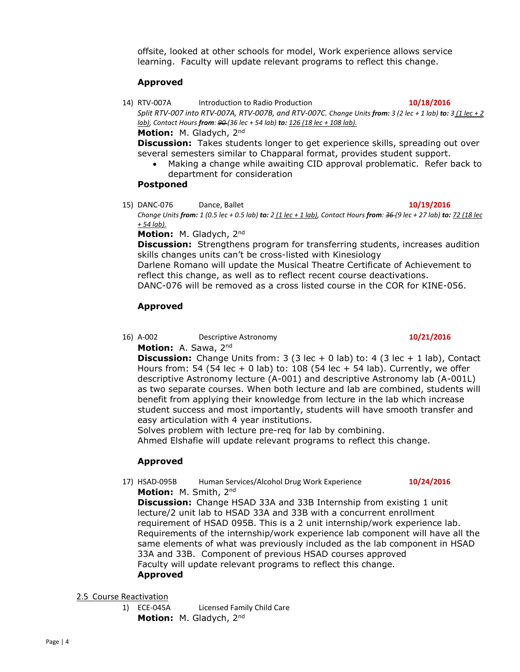offsite, looked at other schools for model, Work experience allows service learning. Faculty will update relevant programs to reflect this change.

# **Approved**

14) RTV-007A Introduction to Radio Production **10/18/2016** *Split RTV-007 into RTV-007A, RTV-007B, and RTV-007C. Change Units from: 3 (2 lec + 1 lab) to: 3 (1 lec + 2 lab), Contact Hours from: 90 (36 lec + 54 lab) to: 126 (18 lec + 108 lab).* **Motion:** M. Gladych, 2nd

**Discussion:** Takes students longer to get experience skills, spreading out over

- several semesters similar to Chapparal format, provides student support.
	- Making a change while awaiting CID approval problematic. Refer back to department for consideration

# **Postponed**

15) DANC-076 Dance, Ballet **10/19/2016**

*Change Units from: 1 (0.5 lec + 0.5 lab) to: 2 (1 lec + 1 lab), Contact Hours from: 36 (9 lec + 27 lab) to: 72 (18 lec + 54 lab).*

**Motion:** M. Gladych, 2nd

**Discussion:** Strengthens program for transferring students, increases audition skills changes units can't be cross-listed with Kinesiology Darlene Romano will update the Musical Theatre Certificate of Achievement to

reflect this change, as well as to reflect recent course deactivations. DANC-076 will be removed as a cross listed course in the COR for KINE-056.

# **Approved**

16) A-002 Descriptive Astronomy **10/21/2016**

**Motion:** A. Sawa, 2nd

**Discussion:** Change Units from: 3 (3 lec + 0 lab) to: 4 (3 lec + 1 lab), Contact Hours from: 54 (54 lec + 0 lab) to: 108 (54 lec + 54 lab). Currently, we offer descriptive Astronomy lecture (A-001) and descriptive Astronomy lab (A-001L) as two separate courses. When both lecture and lab are combined, students will benefit from applying their knowledge from lecture in the lab which increase student success and most importantly, students will have smooth transfer and easy articulation with 4 year institutions.

Solves problem with lecture pre-req for lab by combining.

Ahmed Elshafie will update relevant programs to reflect this change.

# **Approved**

17) HSAD-095B Human Services/Alcohol Drug Work Experience **10/24/2016 Motion:** M. Smith, 2nd

**Discussion:** Change HSAD 33A and 33B Internship from existing 1 unit lecture/2 unit lab to HSAD 33A and 33B with a concurrent enrollment requirement of HSAD 095B. This is a 2 unit internship/work experience lab. Requirements of the internship/work experience lab component will have all the same elements of what was previously included as the lab component in HSAD 33A and 33B. Component of previous HSAD courses approved Faculty will update relevant programs to reflect this change. **Approved**

# 2.5 Course Reactivation

1) ECE-045A Licensed Family Child Care **Motion:** M. Gladych, 2nd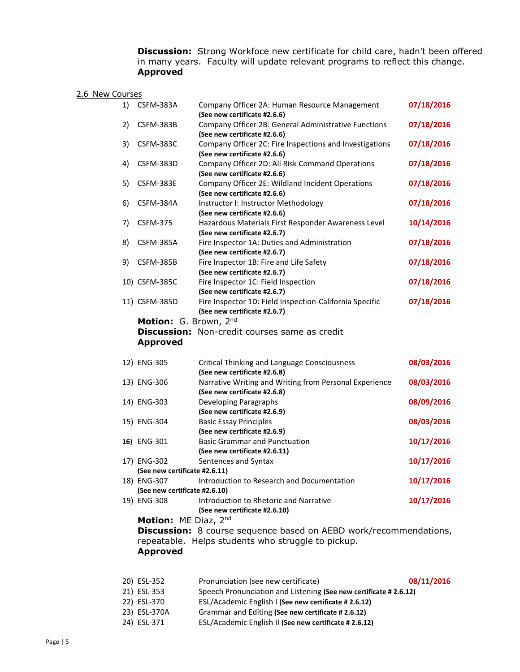**Discussion:** Strong Workfoce new certificate for child care, hadn't been offered in many years. Faculty will update relevant programs to reflect this change. **Approved**

## 2.6 New Courses

| 1) | CSFM-383A                                    | Company Officer 2A: Human Resource Management                                                                          | 07/18/2016 |
|----|----------------------------------------------|------------------------------------------------------------------------------------------------------------------------|------------|
| 2) | CSFM-383B                                    | (See new certificate #2.6.6)<br>Company Officer 2B: General Administrative Functions                                   | 07/18/2016 |
| 3) | CSFM-383C                                    | (See new certificate #2.6.6)<br>Company Officer 2C: Fire Inspections and Investigations                                | 07/18/2016 |
| 4) | CSFM-383D                                    | (See new certificate #2.6.6)<br>Company Officer 2D: All Risk Command Operations<br>(See new certificate #2.6.6)        | 07/18/2016 |
| 5) | CSFM-383E                                    | Company Officer 2E: Wildland Incident Operations<br>(See new certificate #2.6.6)                                       | 07/18/2016 |
| 6) | CSFM-384A                                    | Instructor I: Instructor Methodology<br>(See new certificate #2.6.6)                                                   | 07/18/2016 |
| 7) | <b>CSFM-375</b>                              | Hazardous Materials First Responder Awareness Level<br>(See new certificate #2.6.7)                                    | 10/14/2016 |
| 8) | CSFM-385A                                    | Fire Inspector 1A: Duties and Administration<br>(See new certificate #2.6.7)                                           | 07/18/2016 |
| 9) | CSFM-385B                                    | Fire Inspector 1B: Fire and Life Safety<br>(See new certificate #2.6.7)                                                | 07/18/2016 |
|    | 10) CSFM-385C                                | Fire Inspector 1C: Field Inspection<br>(See new certificate #2.6.7)                                                    | 07/18/2016 |
|    | 11) CSFM-385D                                | Fire Inspector 1D: Field Inspection-California Specific<br>(See new certificate #2.6.7)                                | 07/18/2016 |
|    | Motion: G. Brown, 2nd                        |                                                                                                                        |            |
|    |                                              | Discussion: Non-credit courses same as credit                                                                          |            |
|    | <b>Approved</b>                              |                                                                                                                        |            |
|    | 12) ENG-305                                  | <b>Critical Thinking and Language Consciousness</b>                                                                    |            |
|    |                                              |                                                                                                                        | 08/03/2016 |
|    | 13) ENG-306                                  | (See new certificate #2.6.8)<br>Narrative Writing and Writing from Personal Experience<br>(See new certificate #2.6.8) | 08/03/2016 |
|    | 14) ENG-303                                  | Developing Paragraphs<br>(See new certificate #2.6.9)                                                                  | 08/09/2016 |
|    | 15) ENG-304                                  | <b>Basic Essay Principles</b><br>(See new certificate #2.6.9)                                                          | 08/03/2016 |
|    | 16) ENG-301                                  | <b>Basic Grammar and Punctuation</b><br>(See new certificate #2.6.11)                                                  | 10/17/2016 |
|    | 17) ENG-302                                  | Sentences and Syntax                                                                                                   | 10/17/2016 |
|    | (See new certificate #2.6.11)<br>18) ENG-307 | Introduction to Research and Documentation                                                                             | 10/17/2016 |
|    | (See new certificate #2.6.10)                |                                                                                                                        |            |
|    | 19) ENG-308                                  | Introduction to Rhetoric and Narrative<br>(See new certificate #2.6.10)                                                | 10/17/2016 |
|    | Motion: ME Diaz, 2nd                         |                                                                                                                        |            |
|    |                                              | <b>Discussion:</b> 8 course sequence based on AEBD work/recommendations,                                               |            |
|    | <b>Approved</b>                              | repeatable. Helps students who struggle to pickup.                                                                     |            |

| 20) ESL-352  | Pronunciation (see new certificate)                              | 08/11/2016 |
|--------------|------------------------------------------------------------------|------------|
| 21) ESL-353  | Speech Pronunciation and Listening (See new certificate #2.6.12) |            |
| 22) ESL-370  | ESL/Academic English I (See new certificate #2.6.12)             |            |
| 23) ESL-370A | Grammar and Editing (See new certificate #2.6.12)                |            |
| 24) ESL-371  | ESL/Academic English II (See new certificate #2.6.12)            |            |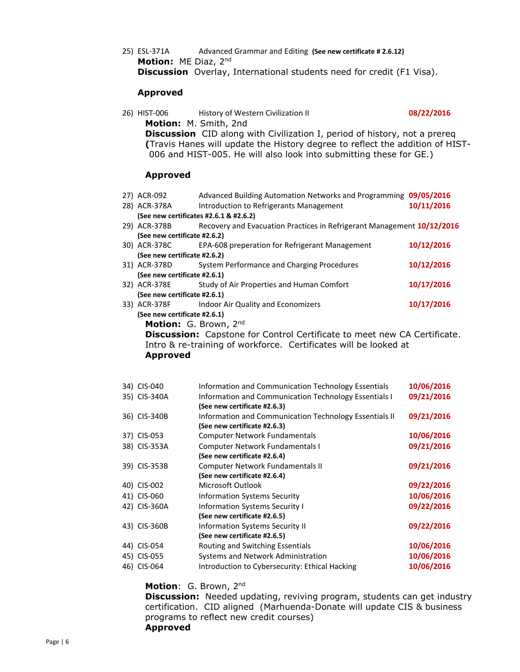25) ESL-371A Advanced Grammar and Editing **(See new certificate # 2.6.12) Motion:** ME Diaz, 2nd **Discussion** Overlay, International students need for credit (F1 Visa).

#### **Approved**

| 26) HIST-006 | History of Western Civilization II                                               | 08/22/2016 |
|--------------|----------------------------------------------------------------------------------|------------|
|              | <b>Motion:</b> M. Smith, 2nd                                                     |            |
|              | <b>Discussion</b> CID along with Civilization I, period of history, not a prereg |            |
|              | (Travis Hanes will update the History degree to reflect the addition of HIST-    |            |
|              | 006 and HIST-005. He will also look into submitting these for GE.)               |            |

#### **Approved**

| 27) ACR-092                                                      | Advanced Building Automation Networks and Programming 09/05/2016                |            |  |  |  |
|------------------------------------------------------------------|---------------------------------------------------------------------------------|------------|--|--|--|
| 28) ACR-378A                                                     | Introduction to Refrigerants Management                                         | 10/11/2016 |  |  |  |
|                                                                  | (See new certificates #2.6.1 & #2.6.2)                                          |            |  |  |  |
| 29) ACR-378B                                                     | Recovery and Evacuation Practices in Refrigerant Management 10/12/2016          |            |  |  |  |
| (See new certificate #2.6.2)                                     |                                                                                 |            |  |  |  |
| 30) ACR-378C                                                     | EPA-608 preperation for Refrigerant Management                                  | 10/12/2016 |  |  |  |
| (See new certificate #2.6.2)                                     |                                                                                 |            |  |  |  |
| 31) ACR-378D                                                     | System Performance and Charging Procedures                                      | 10/12/2016 |  |  |  |
| (See new certificate #2.6.1)                                     |                                                                                 |            |  |  |  |
|                                                                  | 32) ACR-378E Study of Air Properties and Human Comfort                          | 10/17/2016 |  |  |  |
| (See new certificate #2.6.1)                                     |                                                                                 |            |  |  |  |
|                                                                  | 33) ACR-378F Indoor Air Quality and Economizers                                 | 10/17/2016 |  |  |  |
| (See new certificate #2.6.1)                                     |                                                                                 |            |  |  |  |
| Motion: G. Brown, 2nd                                            |                                                                                 |            |  |  |  |
|                                                                  | <b>Discussion:</b> Capstone for Control Certificate to meet new CA Certificate. |            |  |  |  |
| Intro & re-training of workforce. Certificates will be looked at |                                                                                 |            |  |  |  |
| <b>Approved</b>                                                  |                                                                                 |            |  |  |  |
|                                                                  |                                                                                 |            |  |  |  |
|                                                                  |                                                                                 |            |  |  |  |

| 34) CIS-040  | Information and Communication Technology Essentials    | 10/06/2016 |
|--------------|--------------------------------------------------------|------------|
| 35) CIS-340A | Information and Communication Technology Essentials I  | 09/21/2016 |
|              | (See new certificate #2.6.3)                           |            |
| 36) CIS-340B | Information and Communication Technology Essentials II | 09/21/2016 |
|              | (See new certificate #2.6.3)                           |            |
| 37) CIS-053  | <b>Computer Network Fundamentals</b>                   | 10/06/2016 |
| 38) CIS-353A | Computer Network Fundamentals I                        | 09/21/2016 |
|              | (See new certificate #2.6.4)                           |            |
| 39) CIS-353B | Computer Network Fundamentals II                       | 09/21/2016 |
|              | (See new certificate #2.6.4)                           |            |
| 40) CIS-002  | Microsoft Outlook                                      | 09/22/2016 |
| 41) CIS-060  | <b>Information Systems Security</b>                    | 10/06/2016 |
| 42) CIS-360A | <b>Information Systems Security I</b>                  | 09/22/2016 |
|              | (See new certificate #2.6.5)                           |            |
| 43) CIS-360B | <b>Information Systems Security II</b>                 | 09/22/2016 |
|              | (See new certificate #2.6.5)                           |            |
| 44) CIS-054  | Routing and Switching Essentials                       | 10/06/2016 |
| 45) CIS-055  | Systems and Network Administration                     | 10/06/2016 |
| 46) CIS-064  | Introduction to Cybersecurity: Ethical Hacking         | 10/06/2016 |
|              |                                                        |            |

## **Motion**: G. Brown, 2nd

**Discussion:** Needed updating, reviving program, students can get industry certification. CID aligned (Marhuenda-Donate will update CIS & business programs to reflect new credit courses) **Approved**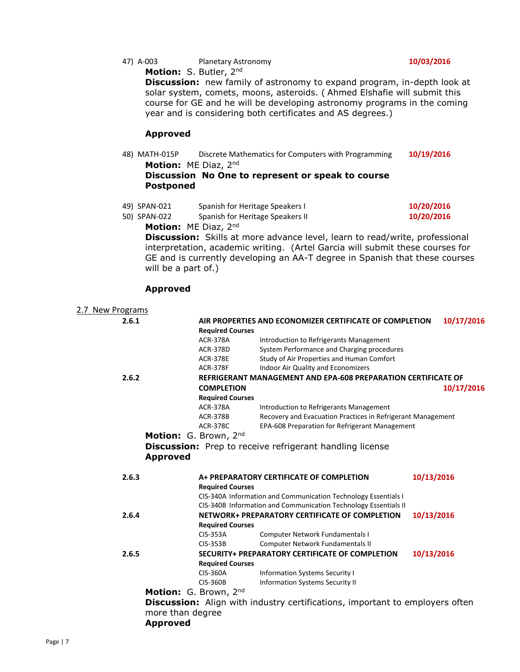47) A-003 Planetary Astronomy **10/03/2016**

**Motion:** S. Butler, 2nd

**Discussion:** new family of astronomy to expand program, in-depth look at solar system, comets, moons, asteroids. ( Ahmed Elshafie will submit this course for GE and he will be developing astronomy programs in the coming year and is considering both certificates and AS degrees.)

# **Approved**

48) MATH-015P Discrete Mathematics for Computers with Programming **10/19/2016 Motion:** ME Diaz, 2nd

**Discussion No One to represent or speak to course Postponed**

|              | $M \sim$ -ism. ME Disc and       |            |
|--------------|----------------------------------|------------|
| 50) SPAN-022 | Spanish for Heritage Speakers II | 10/20/2016 |
| 49) SPAN-021 | Spanish for Heritage Speakers I  | 10/20/2016 |

**Motion:** ME Diaz, 2<sup>nd</sup>

**Discussion:** Skills at more advance level, learn to read/write, professional interpretation, academic writing. (Artel Garcia will submit these courses for GE and is currently developing an AA-T degree in Spanish that these courses will be a part of.)

# **Approved**

| 2.7 New Programs |                       |                         |                                                                                     |            |
|------------------|-----------------------|-------------------------|-------------------------------------------------------------------------------------|------------|
| 2.6.1            |                       |                         | AIR PROPERTIES AND ECONOMIZER CERTIFICATE OF COMPLETION                             | 10/17/2016 |
|                  |                       | <b>Required Courses</b> |                                                                                     |            |
|                  |                       | <b>ACR-378A</b>         | Introduction to Refrigerants Management                                             |            |
|                  |                       | <b>ACR-378D</b>         | System Performance and Charging procedures                                          |            |
|                  |                       | <b>ACR-378E</b>         | Study of Air Properties and Human Comfort                                           |            |
|                  |                       | <b>ACR-378F</b>         | Indoor Air Quality and Economizers                                                  |            |
| 2.6.2            |                       |                         | REFRIGERANT MANAGEMENT AND EPA-608 PREPARATION CERTIFICATE OF                       |            |
|                  |                       | <b>COMPLETION</b>       |                                                                                     | 10/17/2016 |
|                  |                       | <b>Required Courses</b> |                                                                                     |            |
|                  |                       | <b>ACR-378A</b>         | Introduction to Refrigerants Management                                             |            |
|                  |                       | <b>ACR-378B</b>         | Recovery and Evacuation Practices in Refrigerant Management                         |            |
|                  |                       | <b>ACR-378C</b>         | EPA-608 Preparation for Refrigerant Management                                      |            |
|                  | Motion: G. Brown, 2nd |                         |                                                                                     |            |
|                  |                       |                         | <b>Discussion:</b> Prep to receive refrigerant handling license                     |            |
|                  | <b>Approved</b>       |                         |                                                                                     |            |
|                  |                       |                         |                                                                                     |            |
| 2.6.3            |                       |                         | A+ PREPARATORY CERTIFICATE OF COMPLETION                                            | 10/13/2016 |
|                  |                       | <b>Required Courses</b> |                                                                                     |            |
|                  |                       |                         | CIS-340A Information and Communication Technology Essentials I                      |            |
|                  |                       |                         | CIS-340B Information and Communication Technology Essentials II                     |            |
| 2.6.4            |                       |                         | NETWORK+ PREPARATORY CERTIFICATE OF COMPLETION                                      | 10/13/2016 |
|                  |                       | <b>Required Courses</b> |                                                                                     |            |
|                  |                       | <b>CIS-353A</b>         | Computer Network Fundamentals I                                                     |            |
|                  |                       | $CIS-353B$              | Computer Network Fundamentals II                                                    |            |
| 2.6.5            |                       |                         | <b>SECURITY+ PREPARATORY CERTIFICATE OF COMPLETION</b>                              | 10/13/2016 |
|                  |                       | <b>Required Courses</b> |                                                                                     |            |
|                  |                       | <b>CIS-360A</b>         | <b>Information Systems Security I</b>                                               |            |
|                  |                       | <b>CIS-360B</b>         | <b>Information Systems Security II</b>                                              |            |
|                  | Motion: G. Brown, 2nd |                         |                                                                                     |            |
|                  |                       |                         | <b>Discussion:</b> Align with industry certifications, important to employers often |            |
|                  | more than degree      |                         |                                                                                     |            |
|                  | <b>Approved</b>       |                         |                                                                                     |            |
|                  |                       |                         |                                                                                     |            |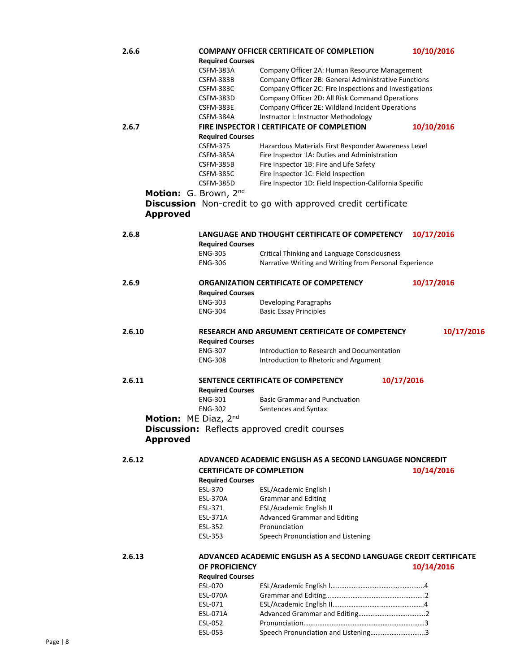| 2.6.6                | <b>Required Courses</b>          | <b>COMPANY OFFICER CERTIFICATE OF COMPLETION</b>                  | 10/10/2016 |
|----------------------|----------------------------------|-------------------------------------------------------------------|------------|
|                      | CSFM-383A                        | Company Officer 2A: Human Resource Management                     |            |
|                      | CSFM-383B                        | Company Officer 2B: General Administrative Functions              |            |
|                      | CSFM-383C                        | Company Officer 2C: Fire Inspections and Investigations           |            |
|                      | CSFM-383D                        | Company Officer 2D: All Risk Command Operations                   |            |
|                      | CSFM-383E                        | Company Officer 2E: Wildland Incident Operations                  |            |
|                      | CSFM-384A                        | Instructor I: Instructor Methodology                              |            |
| 2.6.7                | <b>Required Courses</b>          | FIRE INSPECTOR I CERTIFICATE OF COMPLETION                        | 10/10/2016 |
|                      | <b>CSFM-375</b>                  | Hazardous Materials First Responder Awareness Level               |            |
|                      | CSFM-385A                        | Fire Inspector 1A: Duties and Administration                      |            |
|                      | CSFM-385B                        | Fire Inspector 1B: Fire and Life Safety                           |            |
|                      | CSFM-385C                        | Fire Inspector 1C: Field Inspection                               |            |
|                      | CSFM-385D                        | Fire Inspector 1D: Field Inspection-California Specific           |            |
|                      | Motion: G. Brown, 2nd            |                                                                   |            |
|                      |                                  | Discussion Non-credit to go with approved credit certificate      |            |
| <b>Approved</b>      |                                  |                                                                   |            |
| 2.6.8                |                                  | LANGUAGE AND THOUGHT CERTIFICATE OF COMPETENCY                    | 10/17/2016 |
|                      | <b>Required Courses</b>          |                                                                   |            |
|                      | <b>ENG-305</b>                   | Critical Thinking and Language Consciousness                      |            |
|                      | <b>ENG-306</b>                   | Narrative Writing and Writing from Personal Experience            |            |
| 2.6.9                | <b>Required Courses</b>          | ORGANIZATION CERTIFICATE OF COMPETENCY                            | 10/17/2016 |
|                      | <b>ENG-303</b>                   | Developing Paragraphs                                             |            |
|                      | <b>ENG-304</b>                   | <b>Basic Essay Principles</b>                                     |            |
|                      |                                  |                                                                   |            |
| 2.6.10               | <b>Required Courses</b>          | RESEARCH AND ARGUMENT CERTIFICATE OF COMPETENCY                   | 10/17/2016 |
|                      | <b>ENG-307</b>                   | Introduction to Research and Documentation                        |            |
|                      | <b>ENG-308</b>                   | Introduction to Rhetoric and Argument                             |            |
| 2.6.11               |                                  | SENTENCE CERTIFICATE OF COMPETENCY<br>10/17/2016                  |            |
|                      | <b>Required Courses</b>          |                                                                   |            |
|                      | <b>ENG-301</b>                   | <b>Basic Grammar and Punctuation</b>                              |            |
|                      | <b>ENG-302</b>                   | Sentences and Syntax                                              |            |
| Motion: ME Diaz, 2nd |                                  |                                                                   |            |
| <b>Approved</b>      |                                  | <b>Discussion:</b> Reflects approved credit courses               |            |
|                      |                                  |                                                                   |            |
| 2.6.12               |                                  | ADVANCED ACADEMIC ENGLISH AS A SECOND LANGUAGE NONCREDIT          |            |
|                      | <b>CERTIFICATE OF COMPLETION</b> |                                                                   | 10/14/2016 |
|                      | <b>Required Courses</b>          |                                                                   |            |
|                      | ESL-370                          | ESL/Academic English I                                            |            |
|                      | ESL-370A<br>ESL-371              | <b>Grammar and Editing</b>                                        |            |
|                      | ESL-371A                         | ESL/Academic English II<br><b>Advanced Grammar and Editing</b>    |            |
|                      | ESL-352                          | Pronunciation                                                     |            |
|                      | ESL-353                          | Speech Pronunciation and Listening                                |            |
|                      |                                  |                                                                   |            |
| 2.6.13               |                                  | ADVANCED ACADEMIC ENGLISH AS A SECOND LANGUAGE CREDIT CERTIFICATE |            |
|                      | OF PROFICIENCY                   |                                                                   | 10/14/2016 |
|                      | <b>Required Courses</b>          |                                                                   |            |
|                      | <b>ESL-070</b>                   |                                                                   |            |
|                      | <b>ESL-070A</b>                  |                                                                   |            |
|                      | ESL-071<br>ESL-071A              |                                                                   |            |
|                      | ESL-052                          |                                                                   |            |
|                      | ESL-053                          | Speech Pronunciation and Listening3                               |            |
|                      |                                  |                                                                   |            |